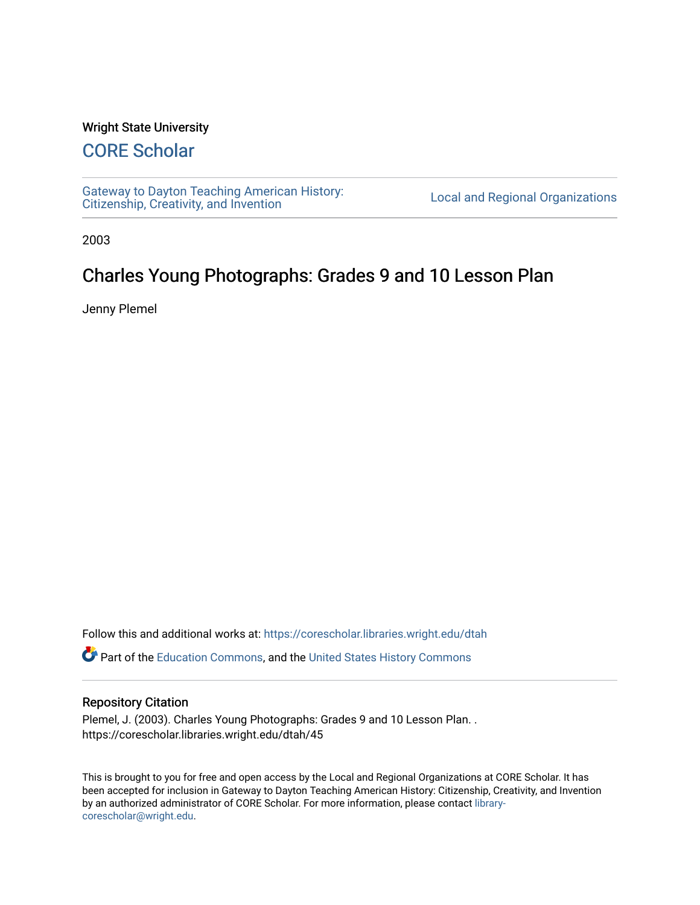#### Wright State University

## [CORE Scholar](https://corescholar.libraries.wright.edu/)

[Gateway to Dayton Teaching American History:](https://corescholar.libraries.wright.edu/dtah)  Gateway to Dayton Teaching American History.<br>[Citizenship, Creativity, and Invention](https://corescholar.libraries.wright.edu/dtah) Listory Local and Regional Organizations

2003

# Charles Young Photographs: Grades 9 and 10 Lesson Plan

Jenny Plemel

Follow this and additional works at: [https://corescholar.libraries.wright.edu/dtah](https://corescholar.libraries.wright.edu/dtah?utm_source=corescholar.libraries.wright.edu%2Fdtah%2F45&utm_medium=PDF&utm_campaign=PDFCoverPages)

Part of the [Education Commons](http://network.bepress.com/hgg/discipline/784?utm_source=corescholar.libraries.wright.edu%2Fdtah%2F45&utm_medium=PDF&utm_campaign=PDFCoverPages), and the [United States History Commons](http://network.bepress.com/hgg/discipline/495?utm_source=corescholar.libraries.wright.edu%2Fdtah%2F45&utm_medium=PDF&utm_campaign=PDFCoverPages) 

#### Repository Citation

Plemel, J. (2003). Charles Young Photographs: Grades 9 and 10 Lesson Plan. . https://corescholar.libraries.wright.edu/dtah/45

This is brought to you for free and open access by the Local and Regional Organizations at CORE Scholar. It has been accepted for inclusion in Gateway to Dayton Teaching American History: Citizenship, Creativity, and Invention by an authorized administrator of CORE Scholar. For more information, please contact [library](mailto:library-corescholar@wright.edu)[corescholar@wright.edu](mailto:library-corescholar@wright.edu).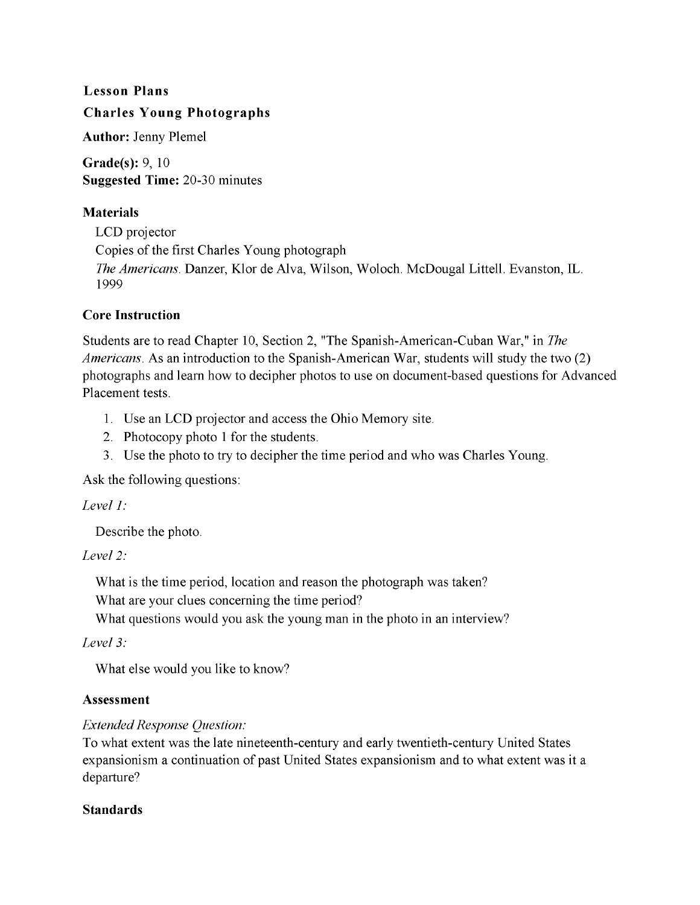# Lesson Plans

## Charles Young Photographs

Author: Jenny Plemel

Grade(s): 9, 10 Suggested Time: 20-30 minutes

#### Materials

LCD projector Copies of the first Charles Young photograph *The Americans.* Danzer, Klor de Alva, Wilson, Woloch. McDougal Littell. Evanston, IL. 1999

#### Core Instruction

Students are to read Chapter 10, Section 2, "The Spanish-American-Cuban War," in *The Americans.* As an introduction to the Spanish-American War, students will study the two (2) photographs and learn how to decipher photos to use on document-based questions for Advanced Placement tests.

- 1. Use an LCD projector and access the Ohio Memory site.
- 2. Photocopy photo 1 for the students.
- 3. Use the photo to try to decipher the time period and who was Charles Young.

Ask the following questions:

#### Level 1:

Describe the photo.

#### *Level* 2:

What is the time period, location and reason the photograph was taken?

What are your clues concerning the time period?

What questions would you ask the young man in the photo in an interview?

*Level* 3:

What else would you like to know?

#### Assessment

### *Extended Response Question:*

To what extent was the late nineteenth-century and early twentieth-century United States expansionism a continuation of past United States expansionism and to what extent was it a departure?

#### Standards